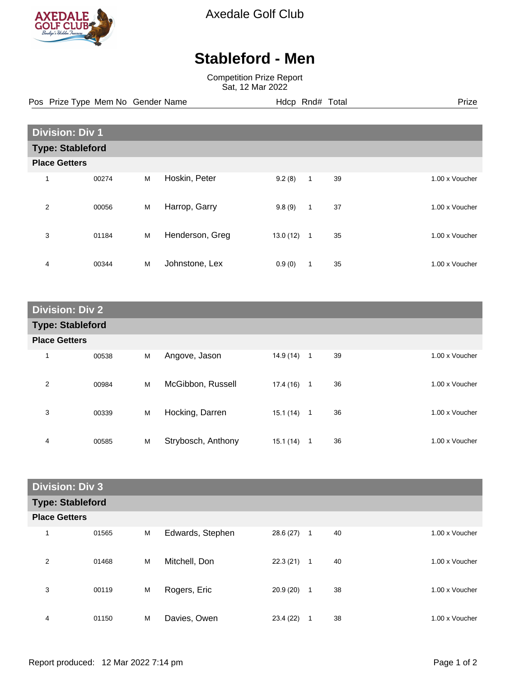

Axedale Golf Club

## **Stableford - Men**

Competition Prize Report Sat, 12 Mar 2022

Pos Prize Type Mem No Gender Name **Hdcp Rnd# Total** Prize Prize

| <b>Division: Div 1</b>  |       |   |                 |          |                |    |                |  |
|-------------------------|-------|---|-----------------|----------|----------------|----|----------------|--|
| <b>Type: Stableford</b> |       |   |                 |          |                |    |                |  |
| <b>Place Getters</b>    |       |   |                 |          |                |    |                |  |
| 1                       | 00274 | M | Hoskin, Peter   | 9.2(8)   | 1              | 39 | 1.00 x Voucher |  |
| $\overline{2}$          | 00056 | M | Harrop, Garry   | 9.8(9)   | $\mathbf{1}$   | 37 | 1.00 x Voucher |  |
| 3                       | 01184 | M | Henderson, Greg | 13.0(12) | $\overline{1}$ | 35 | 1.00 x Voucher |  |
| 4                       | 00344 | M | Johnstone, Lex  | 0.9(0)   | 1              | 35 | 1.00 x Voucher |  |

| <b>Division: Div 2</b>  |       |   |                    |           |                |    |  |                |
|-------------------------|-------|---|--------------------|-----------|----------------|----|--|----------------|
| <b>Type: Stableford</b> |       |   |                    |           |                |    |  |                |
| <b>Place Getters</b>    |       |   |                    |           |                |    |  |                |
| 1                       | 00538 | M | Angove, Jason      | 14.9 (14) | $\overline{1}$ | 39 |  | 1.00 x Voucher |
| 2                       | 00984 | М | McGibbon, Russell  | 17.4(16)  | $\mathbf{1}$   | 36 |  | 1.00 x Voucher |
| 3                       | 00339 | M | Hocking, Darren    | 15.1 (14) | $\overline{1}$ | 36 |  | 1.00 x Voucher |
| 4                       | 00585 | M | Strybosch, Anthony | 15.1 (14) | 1              | 36 |  | 1.00 x Voucher |

| <b>Division: Div 3</b>  |       |   |                  |           |              |    |  |                |
|-------------------------|-------|---|------------------|-----------|--------------|----|--|----------------|
| <b>Type: Stableford</b> |       |   |                  |           |              |    |  |                |
| <b>Place Getters</b>    |       |   |                  |           |              |    |  |                |
| 1                       | 01565 | M | Edwards, Stephen | 28.6 (27) | $\mathbf{1}$ | 40 |  | 1.00 x Voucher |
| 2                       | 01468 | M | Mitchell, Don    | 22.3(21)  | $\mathbf{1}$ | 40 |  | 1.00 x Voucher |
| 3                       | 00119 | M | Rogers, Eric     | 20.9(20)  | $\mathbf{1}$ | 38 |  | 1.00 x Voucher |
| 4                       | 01150 | M | Davies, Owen     | 23.4 (22) | 1            | 38 |  | 1.00 x Voucher |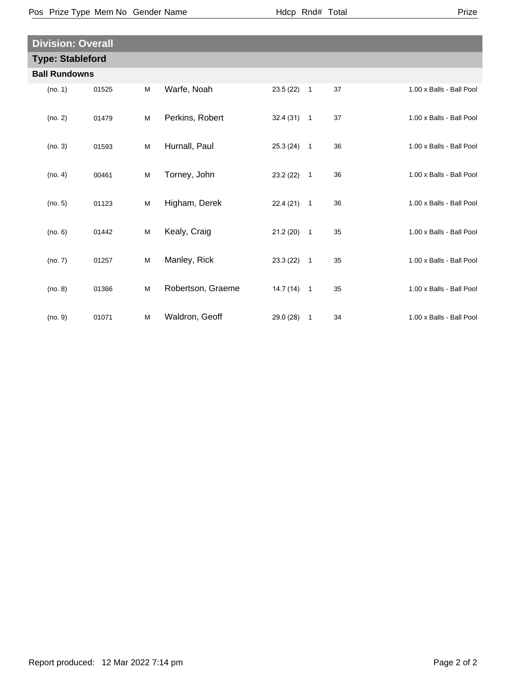| × |  |  |  |
|---|--|--|--|
|---|--|--|--|

| <b>Division: Overall</b> |       |   |                   |              |              |    |                          |  |
|--------------------------|-------|---|-------------------|--------------|--------------|----|--------------------------|--|
| <b>Type: Stableford</b>  |       |   |                   |              |              |    |                          |  |
| <b>Ball Rundowns</b>     |       |   |                   |              |              |    |                          |  |
| (no. 1)                  | 01525 | M | Warfe, Noah       | 23.5 (22)    | $\mathbf{1}$ | 37 | 1.00 x Balls - Ball Pool |  |
| (no. 2)                  | 01479 | M | Perkins, Robert   | $32.4(31)$ 1 |              | 37 | 1.00 x Balls - Ball Pool |  |
| (no. 3)                  | 01593 | M | Hurnall, Paul     | $25.3(24)$ 1 |              | 36 | 1.00 x Balls - Ball Pool |  |
| (no. 4)                  | 00461 | M | Torney, John      | 23.2 (22)    | $\mathbf{1}$ | 36 | 1.00 x Balls - Ball Pool |  |
| (no. 5)                  | 01123 | M | Higham, Derek     | 22.4(21)     | $\mathbf{1}$ | 36 | 1.00 x Balls - Ball Pool |  |
| (no. 6)                  | 01442 | M | Kealy, Craig      | 21.2(20)     | $\mathbf{1}$ | 35 | 1.00 x Balls - Ball Pool |  |
| (no. 7)                  | 01257 | M | Manley, Rick      | $23.3(22)$ 1 |              | 35 | 1.00 x Balls - Ball Pool |  |
| (no. 8)                  | 01366 | M | Robertson, Graeme | $14.7(14)$ 1 |              | 35 | 1.00 x Balls - Ball Pool |  |
| (no. 9)                  | 01071 | M | Waldron, Geoff    | 29.0 (28)    | $\mathbf{1}$ | 34 | 1.00 x Balls - Ball Pool |  |